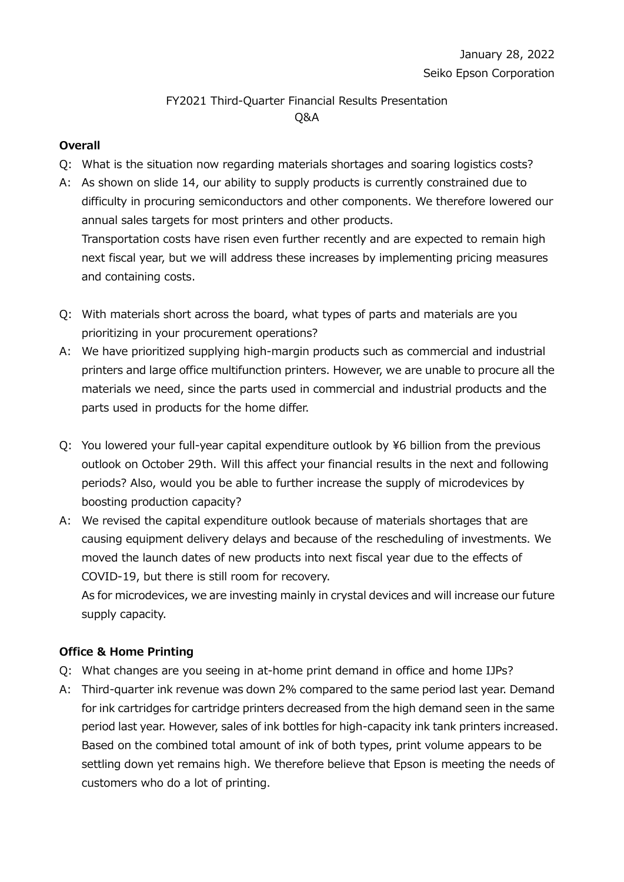# FY2021 Third-Quarter Financial Results Presentation Q&A

### **Overall**

- Q: What is the situation now regarding materials shortages and soaring logistics costs?
- A: As shown on slide 14, our ability to supply products is currently constrained due to difficulty in procuring semiconductors and other components. We therefore lowered our annual sales targets for most printers and other products. Transportation costs have risen even further recently and are expected to remain high next fiscal year, but we will address these increases by implementing pricing measures and containing costs.
- Q: With materials short across the board, what types of parts and materials are you prioritizing in your procurement operations?
- A: We have prioritized supplying high-margin products such as commercial and industrial printers and large office multifunction printers. However, we are unable to procure all the materials we need, since the parts used in commercial and industrial products and the parts used in products for the home differ.
- Q: You lowered your full-year capital expenditure outlook by \6 billion from the previous outlook on October 29th. Will this affect your financial results in the next and following periods? Also, would you be able to further increase the supply of microdevices by boosting production capacity?
- A: We revised the capital expenditure outlook because of materials shortages that are causing equipment delivery delays and because of the rescheduling of investments. We moved the launch dates of new products into next fiscal year due to the effects of COVID-19, but there is still room for recovery.

As for microdevices, we are investing mainly in crystal devices and will increase our future supply capacity.

## **Office & Home Printing**

- Q: What changes are you seeing in at-home print demand in office and home IJPs?
- A: Third-quarter ink revenue was down 2% compared to the same period last year. Demand for ink cartridges for cartridge printers decreased from the high demand seen in the same period last year. However, sales of ink bottles for high-capacity ink tank printers increased. Based on the combined total amount of ink of both types, print volume appears to be settling down yet remains high. We therefore believe that Epson is meeting the needs of customers who do a lot of printing.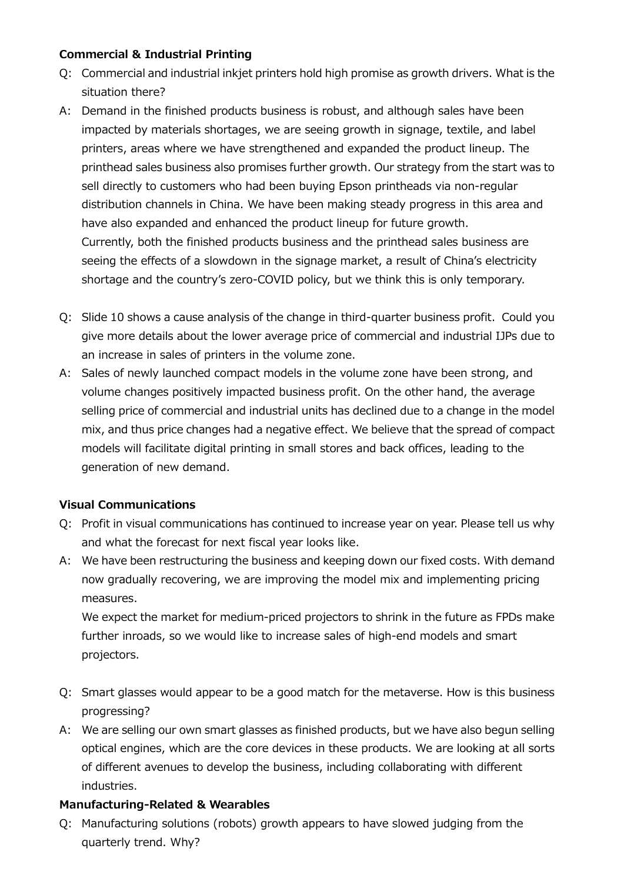#### **Commercial & Industrial Printing**

- Q: Commercial and industrial inkjet printers hold high promise as growth drivers. What is the situation there?
- A: Demand in the finished products business is robust, and although sales have been impacted by materials shortages, we are seeing growth in signage, textile, and label printers, areas where we have strengthened and expanded the product lineup. The printhead sales business also promises further growth. Our strategy from the start was to sell directly to customers who had been buying Epson printheads via non-regular distribution channels in China. We have been making steady progress in this area and have also expanded and enhanced the product lineup for future growth. Currently, both the finished products business and the printhead sales business are seeing the effects of a slowdown in the signage market, a result of China's electricity shortage and the country's zero-COVID policy, but we think this is only temporary.
- Q: Slide 10 shows a cause analysis of the change in third-quarter business profit. Could you give more details about the lower average price of commercial and industrial IJPs due to an increase in sales of printers in the volume zone.
- A: Sales of newly launched compact models in the volume zone have been strong, and volume changes positively impacted business profit. On the other hand, the average selling price of commercial and industrial units has declined due to a change in the model mix, and thus price changes had a negative effect. We believe that the spread of compact models will facilitate digital printing in small stores and back offices, leading to the generation of new demand.

#### **Visual Communications**

- Q: Profit in visual communications has continued to increase year on year. Please tell us why and what the forecast for next fiscal year looks like.
- A: We have been restructuring the business and keeping down our fixed costs. With demand now gradually recovering, we are improving the model mix and implementing pricing measures.

We expect the market for medium-priced projectors to shrink in the future as FPDs make further inroads, so we would like to increase sales of high-end models and smart projectors.

- Q: Smart glasses would appear to be a good match for the metaverse. How is this business progressing?
- A: We are selling our own smart glasses as finished products, but we have also begun selling optical engines, which are the core devices in these products. We are looking at all sorts of different avenues to develop the business, including collaborating with different industries.

#### **Manufacturing-Related & Wearables**

Q: Manufacturing solutions (robots) growth appears to have slowed judging from the quarterly trend. Why?